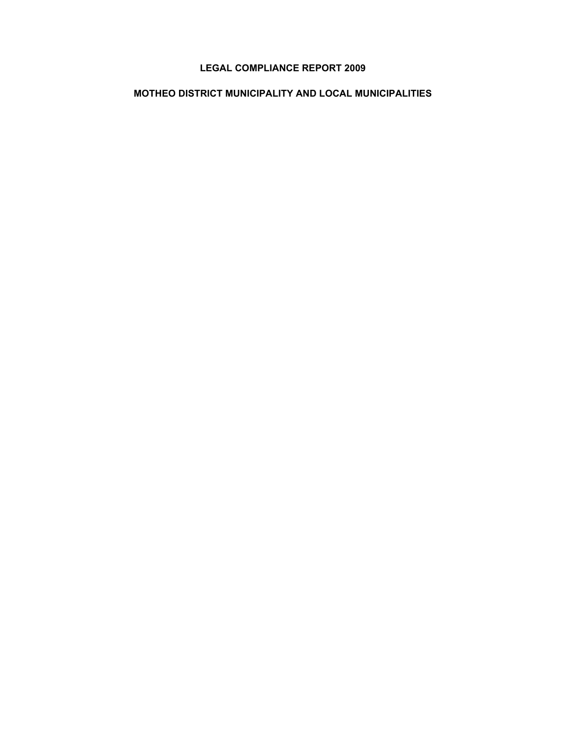# **LEGAL COMPLIANCE REPORT 2009**

# **MOTHEO DISTRICT MUNICIPALITY AND LOCAL MUNICIPALITIES**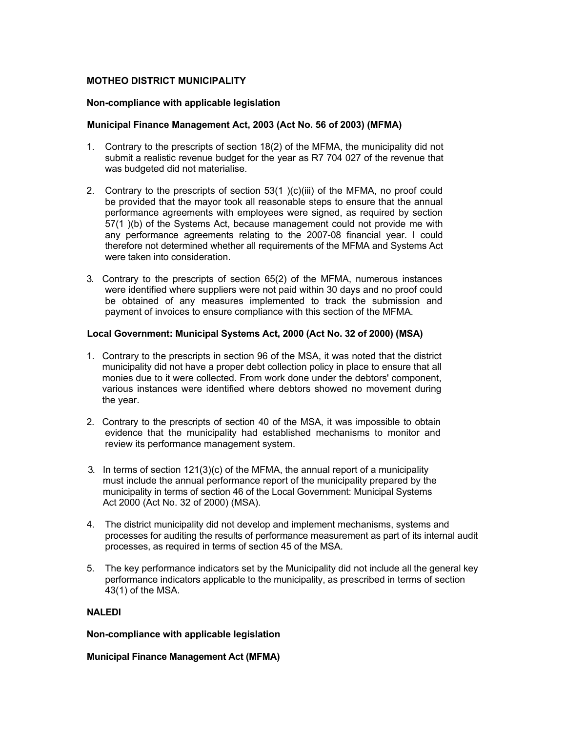## **MOTHEO DISTRICT MUNICIPALITY**

#### **Non-compliance with applicable legislation**

### **Municipal Finance Management Act, 2003 (Act No. 56 of 2003) (MFMA)**

- 1. Contrary to the prescripts of section 18(2) of the MFMA, the municipality did not submit a realistic revenue budget for the year as R7 704 027 of the revenue that was budgeted did not materialise.
- 2. Contrary to the prescripts of section 53(1 )(c)(iii) of the MFMA, no proof could be provided that the mayor took all reasonable steps to ensure that the annual performance agreements with employees were signed, as required by section 57(1 )(b) of the Systems Act, because management could not provide me with any performance agreements relating to the 2007-08 financial year. I could therefore not determined whether all requirements of the MFMA and Systems Act were taken into consideration
- 3. Contrary to the prescripts of section 65(2) of the MFMA, numerous instances were identified where suppliers were not paid within 30 days and no proof could be obtained of any measures implemented to track the submission and payment of invoices to ensure compliance with this section of the MFMA.

## **Local Government: Municipal Systems Act, 2000 (Act No. 32 of 2000) (MSA)**

- 1. Contrary to the prescripts in section 96 of the MSA, it was noted that the district municipality did not have a proper debt collection policy in place to ensure that all monies due to it were collected. From work done under the debtors' component, various instances were identified where debtors showed no movement during the year.
- 2. Contrary to the prescripts of section 40 of the MSA, it was impossible to obtain evidence that the municipality had established mechanisms to monitor and review its performance management system.
- 3. In terms of section 121(3)(c) of the MFMA, the annual report of a municipality must include the annual performance report of the municipality prepared by the municipality in terms of section 46 of the Local Government: Municipal Systems Act 2000 (Act No. 32 of 2000) (MSA).
- 4. The district municipality did not develop and implement mechanisms, systems and processes for auditing the results of performance measurement as part of its internal audit processes, as required in terms of section 45 of the MSA.
- 5. The key performance indicators set by the Municipality did not include all the general key performance indicators applicable to the municipality, as prescribed in terms of section 43(1) of the MSA.

# **NALEDI**

#### **Non-compliance with applicable legislation**

#### **Municipal Finance Management Act (MFMA)**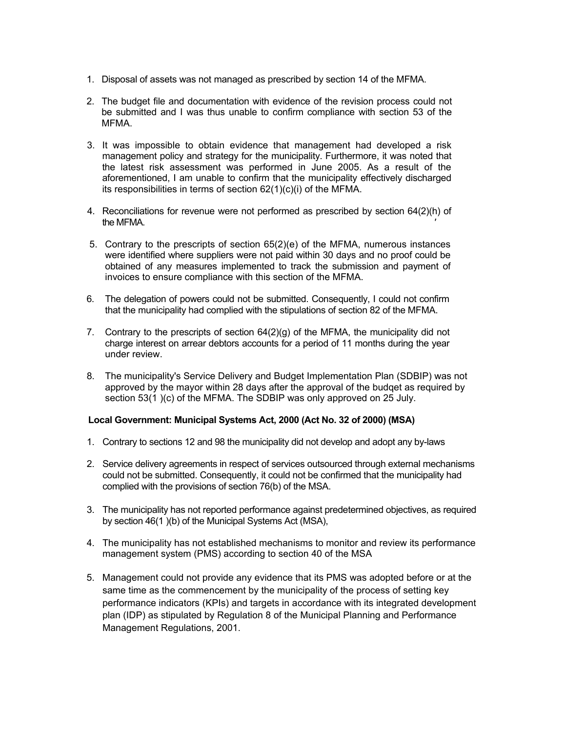- 1. Disposal of assets was not managed as prescribed by section 14 of the MFMA.
- 2. The budget file and documentation with evidence of the revision process could not be submitted and I was thus unable to confirm compliance with section 53 of the MFMA.
- 3. It was impossible to obtain evidence that management had developed a risk management policy and strategy for the municipality. Furthermore, it was noted that the latest risk assessment was performed in June 2005. As a result of the aforementioned, I am unable to confirm that the municipality effectively discharged its responsibilities in terms of section 62(1)(c)(i) of the MFMA.
- 4. Reconciliations for revenue were not performed as prescribed by section 64(2)(h) of the MFMA. *'*
- 5. Contrary to the prescripts of section 65(2)(e) of the MFMA, numerous instances were identified where suppliers were not paid within 30 days and no proof could be obtained of any measures implemented to track the submission and payment of invoices to ensure compliance with this section of the MFMA.
- 6. The delegation of powers could not be submitted. Consequently, I could not confirm that the municipality had complied with the stipulations of section 82 of the MFMA.
- 7. Contrary to the prescripts of section  $64(2)(q)$  of the MFMA, the municipality did not charge interest on arrear debtors accounts for a period of 11 months during the year under review.
- 8. The municipality's Service Delivery and Budget Implementation Plan (SDBIP) was not approved by the mayor within 28 days after the approval of the budqet as required by section 53(1 )(c) of the MFMA. The SDBIP was only approved on 25 July.

#### **Local Government: Municipal Systems Act, 2000 (Act No. 32 of 2000) (MSA)**

- 1. Contrary to sections 12 and 98 the municipality did not develop and adopt any by-laws
- 2. Service delivery agreements in respect of services outsourced through external mechanisms could not be submitted. Consequently, it could not be confirmed that the municipality had complied with the provisions of section 76(b) of the MSA.
- 3. The municipality has not reported performance against predetermined objectives, as required by section 46(1 )(b) of the Municipal Systems Act (MSA),
- 4. The municipality has not established mechanisms to monitor and review its performance management system (PMS) according to section 40 of the MSA
- 5. Management could not provide any evidence that its PMS was adopted before or at the same time as the commencement by the municipality of the process of setting key performance indicators (KPIs) and targets in accordance with its integrated development plan (IDP) as stipulated by Regulation 8 of the Municipal Planning and Performance Management Regulations, 2001.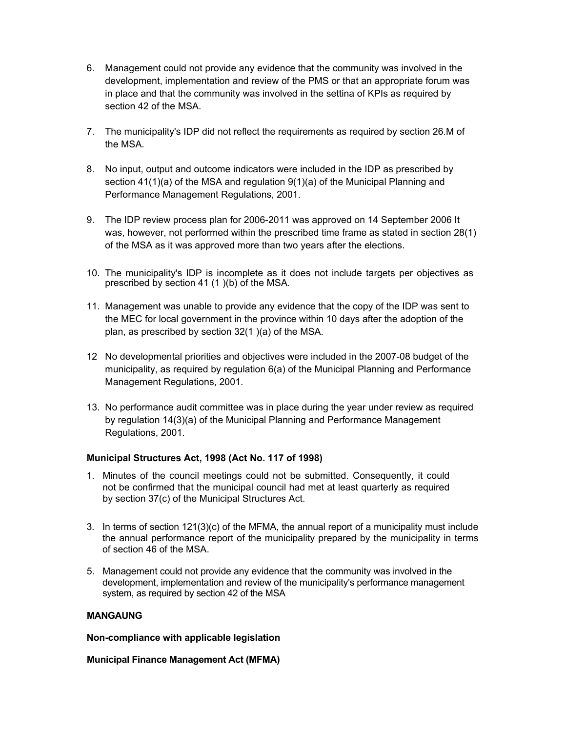- 6. Management could not provide any evidence that the community was involved in the development, implementation and review of the PMS or that an appropriate forum was in place and that the community was involved in the settina of KPIs as required by section 42 of the MSA.
- 7. The municipality's IDP did not reflect the requirements as required by section 26.M of the MSA.
- 8. No input, output and outcome indicators were included in the IDP as prescribed by section 41(1)(a) of the MSA and regulation 9(1)(a) of the Municipal Planning and Performance Management Regulations, 2001.
- 9. The IDP review process plan for 2006-2011 was approved on 14 September 2006 It was, however, not performed within the prescribed time frame as stated in section 28(1) of the MSA as it was approved more than two years after the elections.
- 10. The municipality's IDP is incomplete as it does not include targets per objectives as prescribed by section 41 (1 )(b) of the MSA.
- 11. Management was unable to provide any evidence that the copy of the IDP was sent to the MEC for local government in the province within 10 days after the adoption of the plan, as prescribed by section 32(1 )(a) of the MSA.
- 12 No developmental priorities and objectives were included in the 2007-08 budget of the municipality, as required by regulation 6(a) of the Municipal Planning and Performance Management Regulations, 2001.
- 13. No performance audit committee was in place during the year under review as required by regulation 14(3)(a) of the Municipal Planning and Performance Management Regulations, 2001.

# **Municipal Structures Act, 1998 (Act No. 117 of 1998)**

- 1. Minutes of the council meetings could not be submitted. Consequently, it could not be confirmed that the municipal council had met at least quarterly as required by section 37(c) of the Municipal Structures Act.
- 3. In terms of section 121(3)(c) of the MFMA, the annual report of a municipality must include the annual performance report of the municipality prepared by the municipality in terms of section 46 of the MSA.
- 5. Management could not provide any evidence that the community was involved in the development, implementation and review of the municipality's performance management system, as required by section 42 of the MSA

## **MANGAUNG**

**Non-compliance with applicable legislation**

**Municipal Finance Management Act (MFMA)**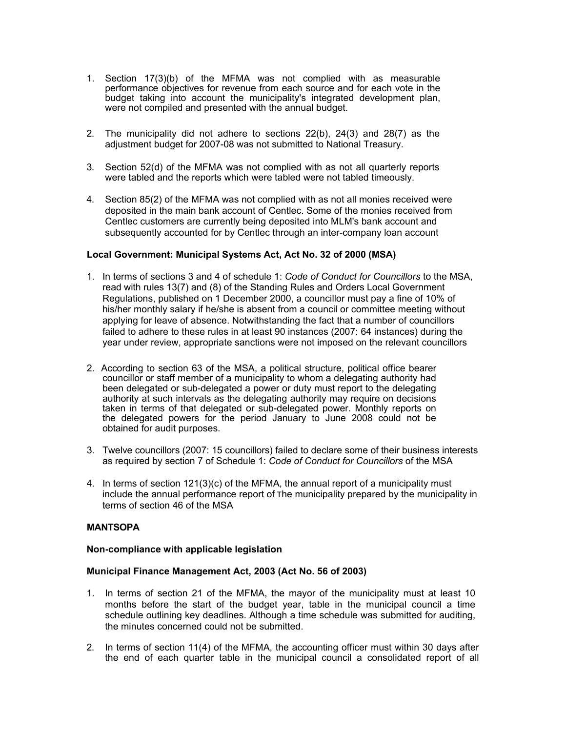- 1. Section 17(3)(b) of the MFMA was not complied with as measurable performance objectives for revenue from each source and for each vote in the budget taking into account the municipality's integrated development plan, were not compiled and presented with the annual budget.
- 2. The municipality did not adhere to sections 22(b), 24(3) and 28(7) as the adjustment budget for 2007-08 was not submitted to National Treasury.
- 3. Section 52(d) of the MFMA was not complied with as not all quarterly reports were tabled and the reports which were tabled were not tabled timeously.
- 4. Section 85(2) of the MFMA was not complied with as not all monies received were deposited in the main bank account of Centlec. Some of the monies received from Centlec customers are currently being deposited into MLM's bank account and subsequently accounted for by Centlec through an inter-company loan account

### **Local Government: Municipal Systems Act, Act No. 32 of 2000 (MSA)**

- 1. In terms of sections 3 and 4 of schedule 1: *Code of Conduct for Councillors* to the MSA, read with rules 13(7) and (8) of the Standing Rules and Orders Local Government Regulations, published on 1 December 2000, a councillor must pay a fine of 10% of his/her monthly salary if he/she is absent from a council or committee meeting without applying for leave of absence. Notwithstanding the fact that a number of councillors failed to adhere to these rules in at least 90 instances (2007: 64 instances) during the year under review, appropriate sanctions were not imposed on the relevant councillors
- 2. According to section 63 of the MSA, a political structure, political office bearer councillor or staff member of a municipality to whom a delegating authority had been delegated or sub-delegated a power or duty must report to the delegating authority at such intervals as the delegating authority may require on decisions taken in terms of that delegated or sub-delegated power. Monthly reports on the delegated powers for the period January to June 2008 could not be obtained for audit purposes.
- 3. Twelve councillors (2007: 15 councillors) failed to declare some of their business interests as required by section 7 of Schedule 1: *Code of Conduct for Councillors* of the MSA
- 4. In terms of section 121(3)(c) of the MFMA, the annual report of a municipality must include the annual performance report of The municipality prepared by the municipality in terms of section 46 of the MSA

#### **MANTSOPA**

#### **Non-compliance with applicable legislation**

#### **Municipal Finance Management Act, 2003 (Act No. 56 of 2003)**

- 1. In terms of section 21 of the MFMA, the mayor of the municipality must at least 10 months before the start of the budget year, table in the municipal council a time schedule outlining key deadlines. Although a time schedule was submitted for auditing, the minutes concerned could not be submitted.
- 2. In terms of section 11(4) of the MFMA, the accounting officer must within 30 days after the end of each quarter table in the municipal council a consolidated report of all